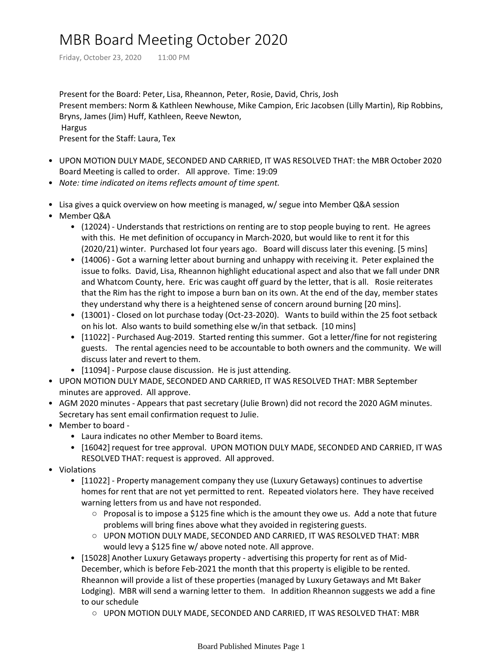## MBR Board Meeting October 2020

Friday, October 23, 2020 11:00 PM

Present for the Board: Peter, Lisa, Rheannon, Peter, Rosie, David, Chris, Josh Present members: Norm & Kathleen Newhouse, Mike Campion, Eric Jacobsen (Lilly Martin), Rip Robbins, Bryns, James (Jim) Huff, Kathleen, Reeve Newton, Hargus Present for the Staff: Laura, Tex

- UPON MOTION DULY MADE, SECONDED AND CARRIED, IT WAS RESOLVED THAT: the MBR October 2020 Board Meeting is called to order. All approve. Time: 19:09
- *Note: time indicated on items reflects amount of time spent.*
- Lisa gives a quick overview on how meeting is managed, w/ segue into Member Q&A session
- Member Q&A
	- (12024) Understands that restrictions on renting are to stop people buying to rent. He agrees with this. He met definition of occupancy in March-2020, but would like to rent it for this (2020/21) winter. Purchased lot four years ago. Board will discuss later this evening. [5 mins]
	- (14006) Got a warning letter about burning and unhappy with receiving it. Peter explained the issue to folks. David, Lisa, Rheannon highlight educational aspect and also that we fall under DNR and Whatcom County, here. Eric was caught off guard by the letter, that is all. Rosie reiterates that the Rim has the right to impose a burn ban on its own. At the end of the day, member states they understand why there is a heightened sense of concern around burning [20 mins].
	- (13001) Closed on lot purchase today (Oct-23-2020). Wants to build within the 25 foot setback on his lot. Also wants to build something else w/in that setback. [10 mins]
	- [11022] Purchased Aug-2019. Started renting this summer. Got a letter/fine for not registering guests. The rental agencies need to be accountable to both owners and the community. We will discuss later and revert to them.
	- [11094] Purpose clause discussion. He is just attending.
- UPON MOTION DULY MADE, SECONDED AND CARRIED, IT WAS RESOLVED THAT: MBR September minutes are approved. All approve.
- AGM 2020 minutes Appears that past secretary (Julie Brown) did not record the 2020 AGM minutes. Secretary has sent email confirmation request to Julie.
- Member to board
	- Laura indicates no other Member to Board items.
	- [16042] request for tree approval. UPON MOTION DULY MADE, SECONDED AND CARRIED, IT WAS RESOLVED THAT: request is approved. All approved.
- Violations
	- [11022] Property management company they use (Luxury Getaways) continues to advertise homes for rent that are not yet permitted to rent. Repeated violators here. They have received warning letters from us and have not responded.
		- Proposal is to impose a \$125 fine which is the amount they owe us. Add a note that future problems will bring fines above what they avoided in registering guests.
		- UPON MOTION DULY MADE, SECONDED AND CARRIED, IT WAS RESOLVED THAT: MBR would levy a \$125 fine w/ above noted note. All approve.
	- [15028] Another Luxury Getaways property advertising this property for rent as of Mid-December, which is before Feb-2021 the month that this property is eligible to be rented. Rheannon will provide a list of these properties (managed by Luxury Getaways and Mt Baker Lodging). MBR will send a warning letter to them. In addition Rheannon suggests we add a fine to our schedule
		- UPON MOTION DULY MADE, SECONDED AND CARRIED, IT WAS RESOLVED THAT: MBR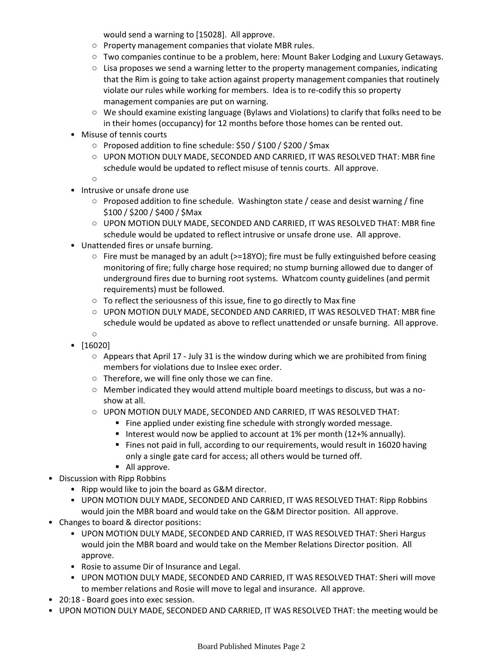would send a warning to [15028]. All approve.

- Property management companies that violate MBR rules.
- Two companies continue to be a problem, here: Mount Baker Lodging and Luxury Getaways.
- Lisa proposes we send a warning letter to the property management companies, indicating that the Rim is going to take action against property management companies that routinely violate our rules while working for members. Idea is to re-codify this so property management companies are put on warning.
- We should examine existing language (Bylaws and Violations) to clarify that folks need to be in their homes (occupancy) for 12 months before those homes can be rented out.
- Misuse of tennis courts
	- Proposed addition to fine schedule: \$50 / \$100 / \$200 / \$max
	- UPON MOTION DULY MADE, SECONDED AND CARRIED, IT WAS RESOLVED THAT: MBR fine schedule would be updated to reflect misuse of tennis courts. All approve.

 $\circ$ 

- Intrusive or unsafe drone use
	- Proposed addition to fine schedule. Washington state / cease and desist warning / fine \$100 / \$200 / \$400 / \$Max
	- UPON MOTION DULY MADE, SECONDED AND CARRIED, IT WAS RESOLVED THAT: MBR fine schedule would be updated to reflect intrusive or unsafe drone use. All approve.
- Unattended fires or unsafe burning.
	- Fire must be managed by an adult (>=18YO); fire must be fully extinguished before ceasing monitoring of fire; fully charge hose required; no stump burning allowed due to danger of underground fires due to burning root systems. Whatcom county guidelines (and permit requirements) must be followed.
	- To reflect the seriousness of this issue, fine to go directly to Max fine
	- UPON MOTION DULY MADE, SECONDED AND CARRIED, IT WAS RESOLVED THAT: MBR fine schedule would be updated as above to reflect unattended or unsafe burning. All approve.
	- ○
- [16020]
	- Appears that April 17 July 31 is the window during which we are prohibited from fining members for violations due to Inslee exec order.
	- Therefore, we will fine only those we can fine.
	- Member indicated they would attend multiple board meetings to discuss, but was a noshow at all.
	- UPON MOTION DULY MADE, SECONDED AND CARRIED, IT WAS RESOLVED THAT:
		- Fine applied under existing fine schedule with strongly worded message.
		- Interest would now be applied to account at 1% per month (12+% annually).
		- Fines not paid in full, according to our requirements, would result in 16020 having only a single gate card for access; all others would be turned off.
	- All approve.
- Discussion with Ripp Robbins
	- Ripp would like to join the board as G&M director.
	- UPON MOTION DULY MADE, SECONDED AND CARRIED, IT WAS RESOLVED THAT: Ripp Robbins would join the MBR board and would take on the G&M Director position. All approve.
- Changes to board & director positions:
	- UPON MOTION DULY MADE, SECONDED AND CARRIED, IT WAS RESOLVED THAT: Sheri Hargus would join the MBR board and would take on the Member Relations Director position. All approve.
	- Rosie to assume Dir of Insurance and Legal.
	- UPON MOTION DULY MADE, SECONDED AND CARRIED, IT WAS RESOLVED THAT: Sheri will move to member relations and Rosie will move to legal and insurance. All approve.
- 20:18 Board goes into exec session.
- UPON MOTION DULY MADE, SECONDED AND CARRIED, IT WAS RESOLVED THAT: the meeting would be •